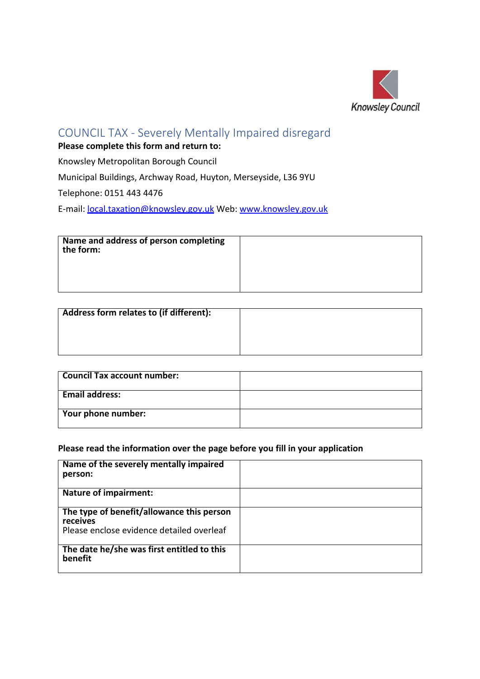

## COUNCIL TAX - Severely Mentally Impaired disregard

**Please complete this form and return to:**

Knowsley Metropolitan Borough Council

Municipal Buildings, Archway Road, Huyton, Merseyside, L36 9YU

Telephone: 0151 443 4476

E-mail: [local.taxation@knowsley.gov.uk](mailto:local.taxation@knowsley.gov.uk) Web: [www.knowsley.gov.uk](http://www.knowsley.gov.uk/)

| Name and address of person completing<br>the form: |  |
|----------------------------------------------------|--|
|                                                    |  |

| Address form relates to (if different): |  |
|-----------------------------------------|--|
|                                         |  |
|                                         |  |
|                                         |  |

| <b>Council Tax account number:</b> |  |
|------------------------------------|--|
| <b>Email address:</b>              |  |
| <b>Your phone number:</b>          |  |

#### **Please read the information over the page before you fill in your application**

| Name of the severely mentally impaired<br>person:     |  |
|-------------------------------------------------------|--|
| <b>Nature of impairment:</b>                          |  |
| The type of benefit/allowance this person<br>receives |  |
| Please enclose evidence detailed overleaf             |  |
| The date he/she was first entitled to this<br>benefit |  |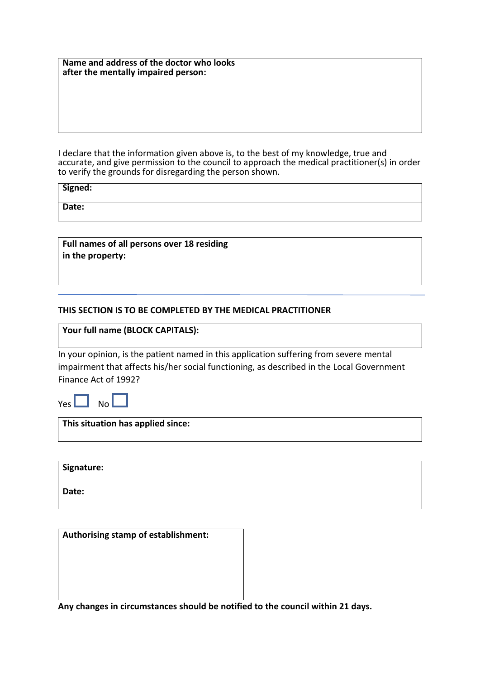| Name and address of the doctor who looks<br>after the mentally impaired person: |  |
|---------------------------------------------------------------------------------|--|
|                                                                                 |  |
|                                                                                 |  |

I declare that the information given above is, to the best of my knowledge, true and accurate, and give permission to the council to approach the medical practitioner(s) in order to verify the grounds for disregarding the person shown.

| Signed: |  |
|---------|--|
| Date:   |  |

| Full names of all persons over 18 residing |  |
|--------------------------------------------|--|
| in the property:                           |  |
|                                            |  |

#### **THIS SECTION IS TO BE COMPLETED BY THE MEDICAL PRACTITIONER**

| Vour full name (BLOCK CAPITALS): |  |
|----------------------------------|--|
|                                  |  |

In your opinion, is the patient named in this application suffering from severe mental impairment that affects his/her social functioning, as described in the Local Government Finance Act of 1992?

Yes  $\Box$  No  $\Box$ 

| This situation has applied since: |  |
|-----------------------------------|--|
|                                   |  |

| Signature: |  |
|------------|--|
| Date:      |  |

| Authorising stamp of establishment: |  |
|-------------------------------------|--|
|                                     |  |
|                                     |  |
|                                     |  |
|                                     |  |

**Any changes in circumstances should be notified to the council within 21 days.**